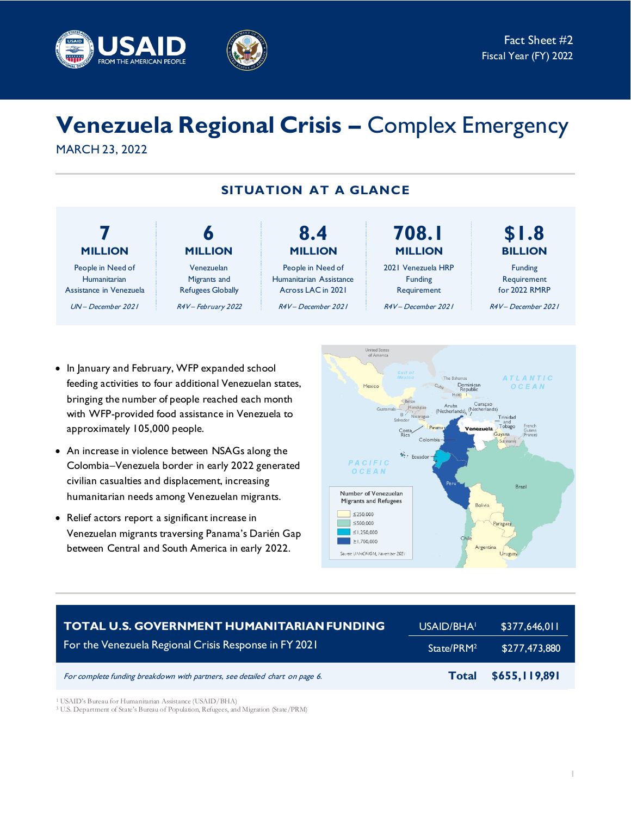



# **Venezuela Regional Crisis –** Complex Emergency MARCH 23, 2022

**SITUATION AT A GLANCE**

#### **7 MILLION** People in Need of **Humanitarian** Assistance in Venezuela UN – December 2021 **\$1.8 BILLION** Funding Requirement for 2022 RMRP R4V – December 2021 **6 MILLION** Venezuelan Migrants and Refugees Globally R4V-February 2022 **8.4 MILLION** People in Need of Humanitarian Assistance Across LAC in 2021 R4V – December 2021 **708.1 MILLION** 2021 Venezuela HRP Funding Requirement R4V – December 2021

- In January and February, WFP expanded school feeding activities to four additional Venezuelan states, bringing the number of people reached each month with WFP-provided food assistance in Venezuela to approximately 105,000 people.
- An increase in violence between NSAGs along the Colombia–Venezuela border in early 2022 generated civilian casualties and displacement, increasing humanitarian needs among Venezuelan migrants.
- Relief actors report a significant increase in Venezuelan migrants traversing Panama's Darién Gap between Central and South America in early 2022.



| <b>TOTAL U.S. GOVERNMENT HUMANITARIAN FUNDING</b>                           | USAID/BHA              | \$377,646,011 |
|-----------------------------------------------------------------------------|------------------------|---------------|
| For the Venezuela Regional Crisis Response in FY 2021                       | State/PRM <sup>2</sup> | \$277,473,880 |
| For complete funding breakdown with partners, see detailed chart on page 6. | <b>Total</b>           | \$655,119,891 |

<sup>1</sup> USAID's Bureau for Humanitarian Assistance (USAID/BHA)

<sup>3</sup>U.S. Department of State's Bureau of Population, Refugees, and Migration (State/PRM)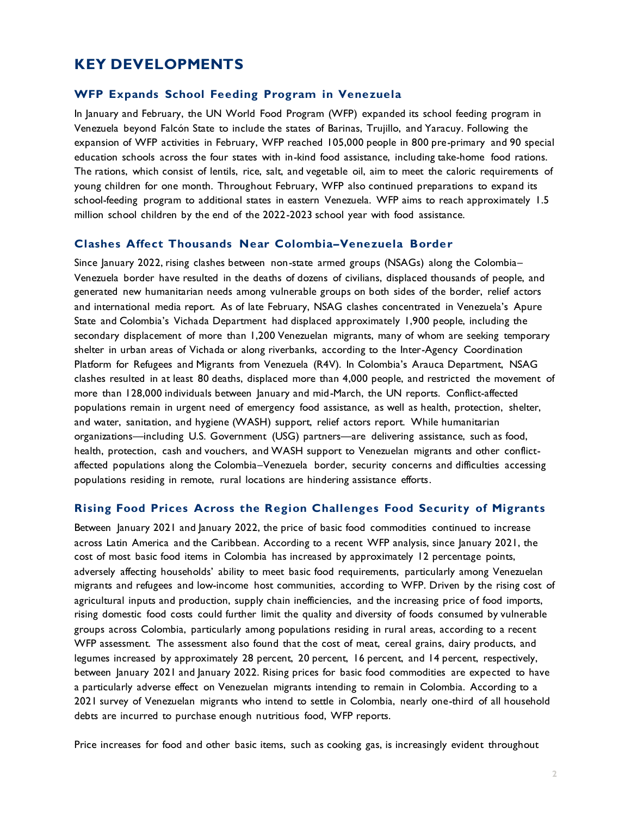# **KEY DEVELOPMENTS**

#### **WFP Expands School Feeding Program in Venezuela**

In January and February, the UN World Food Program (WFP) expanded its school feeding program in Venezuela beyond Falcón State to include the states of Barinas, Trujillo, and Yaracuy. Following the expansion of WFP activities in February, WFP reached 105,000 people in 800 pre-primary and 90 special education schools across the four states with in-kind food assistance, including take-home food rations. The rations, which consist of lentils, rice, salt, and vegetable oil, aim to meet the caloric requirements of young children for one month. Throughout February, WFP also continued preparations to expand its school-feeding program to additional states in eastern Venezuela. WFP aims to reach approximately 1.5 million school children by the end of the 2022-2023 school year with food assistance.

#### **Clashes Affect Thousands Near Colombia–Venezuela Border**

Since January 2022, rising clashes between non-state armed groups (NSAGs) along the Colombia-Venezuela border have resulted in the deaths of dozens of civilians, displaced thousands of people, and generated new humanitarian needs among vulnerable groups on both sides of the border, relief actors and international media report. As of late February, NSAG clashes concentrated in Venezuela's Apure State and Colombia's Vichada Department had displaced approximately 1,900 people, including the secondary displacement of more than 1,200 Venezuelan migrants, many of whom are seeking temporary shelter in urban areas of Vichada or along riverbanks, according to the Inter-Agency Coordination Platform for Refugees and Migrants from Venezuela (R4V). In Colombia's Arauca Department, NSAG clashes resulted in at least 80 deaths, displaced more than 4,000 people, and restricted the movement of more than 128,000 individuals between January and mid-March, the UN reports. Conflict-affected populations remain in urgent need of emergency food assistance, as well as health, protection, shelter, and water, sanitation, and hygiene (WASH) support, relief actors report. While humanitarian organizations—including U.S. Government (USG) partners—are delivering assistance, such as food, health, protection, cash and vouchers, and WASH support to Venezuelan migrants and other conflictaffected populations along the Colombia–Venezuela border, security concerns and difficulties accessing populations residing in remote, rural locations are hindering assistance efforts.

#### **Rising Food Prices Across the Region Challenges Food Security of Migrants**

Between January 2021 and January 2022, the price of basic food commodities continued to increase across Latin America and the Caribbean. According to a recent WFP analysis, since January 2021, the cost of most basic food items in Colombia has increased by approximately 12 percentage points, adversely affecting households' ability to meet basic food requirements, particularly among Venezuelan migrants and refugees and low-income host communities, according to WFP. Driven by the rising cost of agricultural inputs and production, supply chain inefficiencies, and the increasing price of food imports, rising domestic food costs could further limit the quality and diversity of foods consumed by vulnerable groups across Colombia, particularly among populations residing in rural areas, according to a recent WFP assessment. The assessment also found that the cost of meat, cereal grains, dairy products, and legumes increased by approximately 28 percent, 20 percent, 16 percent, and 14 percent, respectively, between January 2021 and January 2022. Rising prices for basic food commodities are expected to have a particularly adverse effect on Venezuelan migrants intending to remain in Colombia. According to a 2021 survey of Venezuelan migrants who intend to settle in Colombia, nearly one-third of all household debts are incurred to purchase enough nutritious food, WFP reports.

Price increases for food and other basic items, such as cooking gas, is increasingly evident throughout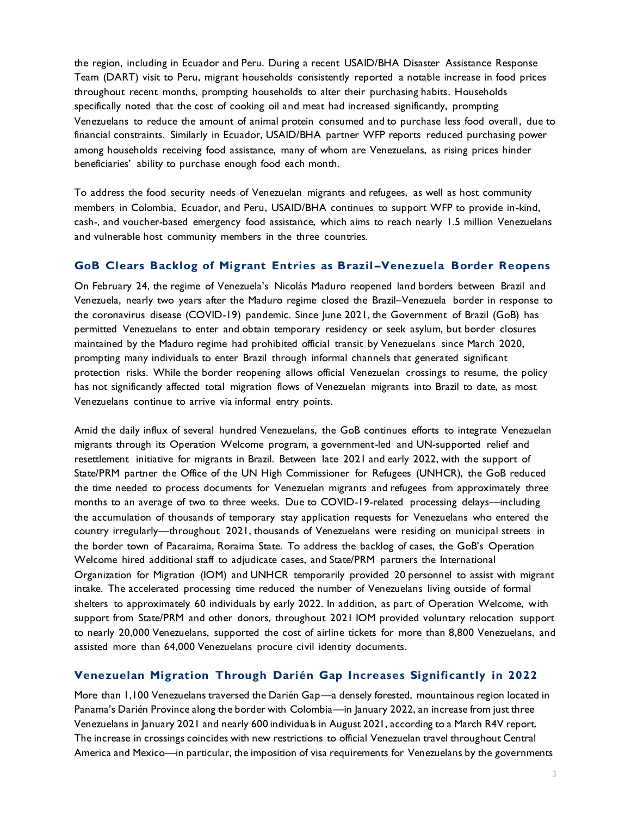the region, including in Ecuador and Peru. During a recent USAID/BHA Disaster Assistance Response Team (DART) visit to Peru, migrant households consistently reported a notable increase in food prices throughout recent months, prompting households to alter their purchasing habits. Households specifically noted that the cost of cooking oil and meat had increased significantly, prompting Venezuelans to reduce the amount of animal protein consumed and to purchase less food overall, due to financial constraints. Similarly in Ecuador, USAID/BHA partner WFP reports reduced purchasing power among households receiving food assistance, many of whom are Venezuelans, as rising prices hinder beneficiaries' ability to purchase enough food each month.

To address the food security needs of Venezuelan migrants and refugees, as well as host community members in Colombia, Ecuador, and Peru, USAID/BHA continues to support WFP to provide in-kind, cash-, and voucher-based emergency food assistance, which aims to reach nearly 1.5 million Venezuelans and vulnerable host community members in the three countries.

#### **GoB Clears Backlog of Migrant Entries as Brazil –Venezuela Border Reopens**

On February 24, the regime of Venezuela's Nicolás Maduro reopened land borders between Brazil and Venezuela, nearly two years after the Maduro regime closed the Brazil–Venezuela border in response to the coronavirus disease (COVID-19) pandemic. Since June 2021, the Government of Brazil (GoB) has permitted Venezuelans to enter and obtain temporary residency or seek asylum, but border closures maintained by the Maduro regime had prohibited official transit by Venezuelans since March 2020, prompting many individuals to enter Brazil through informal channels that generated significant protection risks. While the border reopening allows official Venezuelan crossings to resume, the policy has not significantly affected total migration flows of Venezuelan migrants into Brazil to date, as most Venezuelans continue to arrive via informal entry points.

Amid the daily influx of several hundred Venezuelans, the GoB continues efforts to integrate Venezuelan migrants through its Operation Welcome program, a government-led and UN-supported relief and resettlement initiative for migrants in Brazil. Between late 2021 and early 2022, with the support of State/PRM partner the Office of the UN High Commissioner for Refugees (UNHCR), the GoB reduced the time needed to process documents for Venezuelan migrants and refugees from approximately three months to an average of two to three weeks. Due to COVID-19-related processing delays—including the accumulation of thousands of temporary stay application requests for Venezuelans who entered the country irregularly—throughout 2021, thousands of Venezuelans were residing on municipal streets in the border town of Pacaraima, Roraima State. To address the backlog of cases, the GoB's Operation Welcome hired additional staff to adjudicate cases, and State/PRM partners the International Organization for Migration (IOM) and UNHCR temporarily provided 20 personnel to assist with migrant intake. The accelerated processing time reduced the number of Venezuelans living outside of formal shelters to approximately 60 individuals by early 2022. In addition, as part of Operation Welcome, with support from State/PRM and other donors, throughout 2021 IOM provided voluntary relocation support to nearly 20,000 Venezuelans, supported the cost of airline tickets for more than 8,800 Venezuelans, and assisted more than 64,000 Venezuelans procure civil identity documents.

### **Venezuelan Migration Through Darién Gap Increases Significantly in 2022**

More than 1,100 Venezuelans traversed the Darién Gap—a densely forested, mountainous region located in Panama's Darién Province along the border with Colombia—in January 2022, an increase from just three Venezuelans in January 2021 and nearly 600 individuals in August 2021, according to a March R4V report. The increase in crossings coincides with new restrictions to official Venezuelan travel throughout Central America and Mexico—in particular, the imposition of visa requirements for Venezuelans by the governments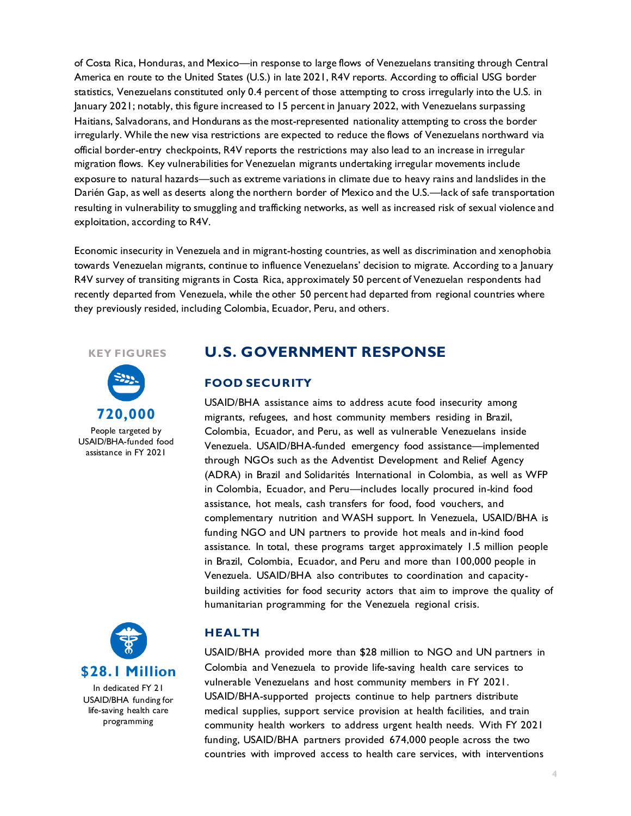of Costa Rica, Honduras, and Mexico—in response to large flows of Venezuelans transiting through Central America en route to the United States (U.S.) in late 2021, R4V reports. According to official USG border statistics, Venezuelans constituted only 0.4 percent of those attempting to cross irregularly into the U.S. in January 2021; notably, this figure increased to 15 percent in January 2022, with Venezuelans surpassing Haitians, Salvadorans, and Hondurans as the most-represented nationality attempting to cross the border irregularly. While the new visa restrictions are expected to reduce the flows of Venezuelans northward via official border-entry checkpoints, R4V reports the restrictions may also lead to an increase in irregular migration flows. Key vulnerabilities for Venezuelan migrants undertaking irregular movements include exposure to natural hazards—such as extreme variations in climate due to heavy rains and landslides in the Darién Gap, as well as deserts along the northern border of Mexico and the U.S.—lack of safe transportation resulting in vulnerability to smuggling and trafficking networks, as well as increased risk of sexual violence and exploitation, according to R4V.

Economic insecurity in Venezuela and in migrant-hosting countries, as well as discrimination and xenophobia towards Venezuelan migrants, continue to influence Venezuelans' decision to migrate. According to a January R4V survey of transiting migrants in Costa Rica, approximately 50 percent of Venezuelan respondents had recently departed from Venezuela, while the other 50 percent had departed from regional countries where they previously resided, including Colombia, Ecuador, Peru, and others.

#### **KEY FIGURES**



People targeted by USAID/BHA-funded food assistance in FY 2021



**\$28.1 Million** In dedicated FY 21 USAID/BHA funding for life-saving health care

programming

## **U.S. GOVERNMENT RESPONSE**

#### **FOOD SECURITY**

USAID/BHA assistance aims to address acute food insecurity among migrants, refugees, and host community members residing in Brazil, Colombia, Ecuador, and Peru, as well as vulnerable Venezuelans inside Venezuela. USAID/BHA-funded emergency food assistance—implemented through NGOs such as the Adventist Development and Relief Agency (ADRA) in Brazil and Solidarités International in Colombia, as well as WFP in Colombia, Ecuador, and Peru—includes locally procured in-kind food assistance, hot meals, cash transfers for food, food vouchers, and complementary nutrition and WASH support. In Venezuela, USAID/BHA is funding NGO and UN partners to provide hot meals and in-kind food assistance. In total, these programs target approximately 1.5 million people in Brazil, Colombia, Ecuador, and Peru and more than 100,000 people in Venezuela. USAID/BHA also contributes to coordination and capacitybuilding activities for food security actors that aim to improve the quality of humanitarian programming for the Venezuela regional crisis.

#### **HEALTH**

USAID/BHA provided more than \$28 million to NGO and UN partners in Colombia and Venezuela to provide life-saving health care services to vulnerable Venezuelans and host community members in FY 2021. USAID/BHA-supported projects continue to help partners distribute medical supplies, support service provision at health facilities, and train community health workers to address urgent health needs. With FY 2021 funding, USAID/BHA partners provided 674,000 people across the two countries with improved access to health care services, with interventions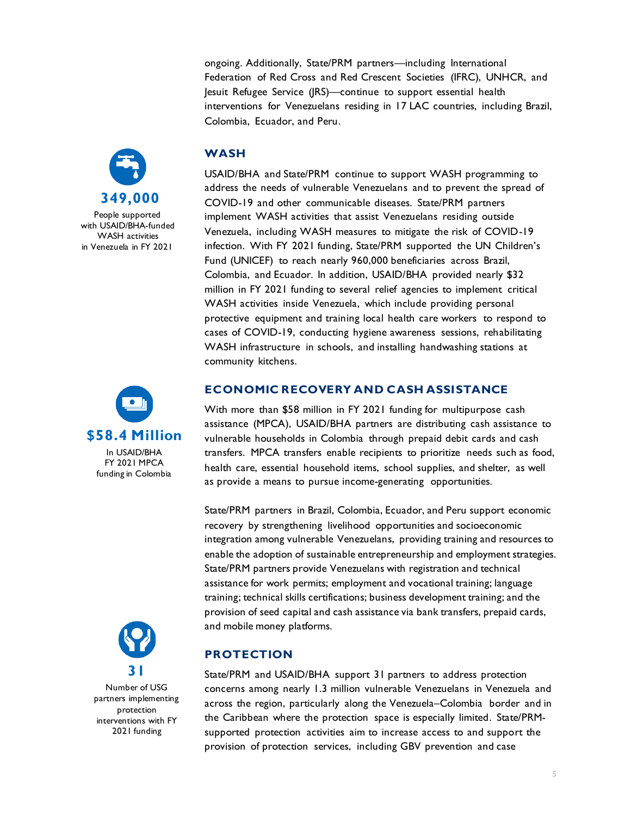ongoing. Additionally, State/PRM partners—including International Federation of Red Cross and Red Crescent Societies (IFRC), UNHCR, and Jesuit Refugee Service (JRS)—continue to support essential health interventions for Venezuelans residing in 17 LAC countries, including Brazil, Colombia, Ecuador, and Peru.



People supported with USAID/BHA-funded WASH activities in Venezuela in FY 2021



FY 2021 MPCA funding in Colombia



Number of USG partners implementing protection interventions with FY 2021 funding

#### **WASH**

USAID/BHA and State/PRM continue to support WASH programming to address the needs of vulnerable Venezuelans and to prevent the spread of COVID-19 and other communicable diseases. State/PRM partners implement WASH activities that assist Venezuelans residing outside Venezuela, including WASH measures to mitigate the risk of COVID-19 infection. With FY 2021 funding, State/PRM supported the UN Children's Fund (UNICEF) to reach nearly 960,000 beneficiaries across Brazil, Colombia, and Ecuador. In addition, USAID/BHA provided nearly \$32 million in FY 2021 funding to several relief agencies to implement critical WASH activities inside Venezuela, which include providing personal protective equipment and training local health care workers to respond to cases of COVID-19, conducting hygiene awareness sessions, rehabilitating WASH infrastructure in schools, and installing handwashing stations at community kitchens.

#### **ECONOMIC RECOVERY AND CASH ASSISTANCE**

With more than \$58 million in FY 2021 funding for multipurpose cash assistance (MPCA), USAID/BHA partners are distributing cash assistance to vulnerable households in Colombia through prepaid debit cards and cash transfers. MPCA transfers enable recipients to prioritize needs such as food, health care, essential household items, school supplies, and shelter, as well as provide a means to pursue income-generating opportunities.

State/PRM partners in Brazil, Colombia, Ecuador, and Peru support economic recovery by strengthening livelihood opportunities and socioeconomic integration among vulnerable Venezuelans, providing training and resources to enable the adoption of sustainable entrepreneurship and employment strategies. State/PRM partners provide Venezuelans with registration and technical assistance for work permits; employment and vocational training; language training; technical skills certifications; business development training; and the provision of seed capital and cash assistance via bank transfers, prepaid cards, and mobile money platforms.

### **PROTECTION**

State/PRM and USAID/BHA support 31 partners to address protection concerns among nearly 1.3 million vulnerable Venezuelans in Venezuela and across the region, particularly along the Venezuela–Colombia border and in the Caribbean where the protection space is especially limited. State/PRMsupported protection activities aim to increase access to and support the provision of protection services, including GBV prevention and case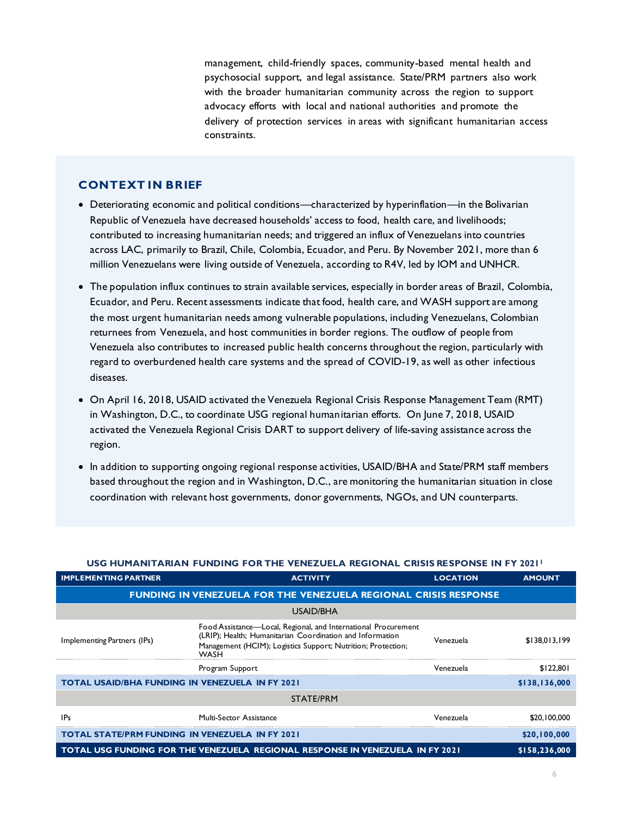management, child-friendly spaces, community-based mental health and psychosocial support, and legal assistance. State/PRM partners also work with the broader humanitarian community across the region to support advocacy efforts with local and national authorities and promote the delivery of protection services in areas with significant humanitarian access constraints.

#### **CONTEXT IN BRIEF**

- Deteriorating economic and political conditions—characterized by hyperinflation—in the Bolivarian Republic of Venezuela have decreased households' access to food, health care, and livelihoods; contributed to increasing humanitarian needs; and triggered an influx of Venezuelans into countries across LAC, primarily to Brazil, Chile, Colombia, Ecuador, and Peru. By November 2021, more than 6 million Venezuelans were living outside of Venezuela, according to R4V, led by IOM and UNHCR.
- The population influx continues to strain available services, especially in border areas of Brazil, Colombia, Ecuador, and Peru. Recent assessments indicate that food, health care, and WASH support are among the most urgent humanitarian needs among vulnerable populations, including Venezuelans, Colombian returnees from Venezuela, and host communities in border regions. The outflow of people from Venezuela also contributes to increased public health concerns throughout the region, particularly with regard to overburdened health care systems and the spread of COVID-19, as well as other infectious diseases.
- On April 16, 2018, USAID activated the Venezuela Regional Crisis Response Management Team (RMT) in Washington, D.C., to coordinate USG regional humanitarian efforts. On June 7, 2018, USAID activated the Venezuela Regional Crisis DART to support delivery of life-saving assistance across the region.
- In addition to supporting ongoing regional response activities, USAID/BHA and State/PRM staff members based throughout the region and in Washington, D.C., are monitoring the humanitarian situation in close coordination with relevant host governments, donor governments, NGOs, and UN counterparts.

| <u>USG HUMANITARIAN FUNDING FOR THE VENEZUELA REGIONAL CRISIS RESPONSE IN FY 2021</u> |                                                                                                                                                                                                            |                 |               |
|---------------------------------------------------------------------------------------|------------------------------------------------------------------------------------------------------------------------------------------------------------------------------------------------------------|-----------------|---------------|
| <b>IMPLEMENTING PARTNER</b>                                                           | <b>ACTIVITY</b>                                                                                                                                                                                            | <b>LOCATION</b> | <b>AMOUNT</b> |
|                                                                                       | <b>FUNDING IN VENEZUELA FOR THE VENEZUELA REGIONAL CRISIS RESPONSE</b>                                                                                                                                     |                 |               |
|                                                                                       | USAID/BHA                                                                                                                                                                                                  |                 |               |
| Implementing Partners (IPs)                                                           | Food Assistance—Local, Regional, and International Procurement<br>(LRIP); Health; Humanitarian Coordination and Information<br>Management (HCIM); Logistics Support; Nutrition; Protection;<br><b>WASH</b> | Venezuela       | \$138,013,199 |
|                                                                                       | Program Support                                                                                                                                                                                            | Venezuela       | \$122,801     |
| <b>TOTAL USAID/BHA FUNDING IN VENEZUELA IN FY 2021</b>                                |                                                                                                                                                                                                            |                 | \$138,136,000 |
| STATE/PRM                                                                             |                                                                                                                                                                                                            |                 |               |
| <b>IPs</b>                                                                            | Multi-Sector Assistance                                                                                                                                                                                    | Venezuela       | \$20,100,000  |
| <b>TOTAL STATE/PRM FUNDING IN VENEZUELA IN FY 2021</b>                                |                                                                                                                                                                                                            |                 | \$20,100,000  |
|                                                                                       | TOTAL USG FUNDING FOR THE VENEZUELA REGIONAL RESPONSE IN VENEZUELA IN FY 2021<br>\$158,236,000                                                                                                             |                 |               |

#### **USG HUMANITARIAN FUNDING FOR THE VENEZUELA REGIONAL CRISIS RESPONSE IN FY 2021<sup>1</sup>**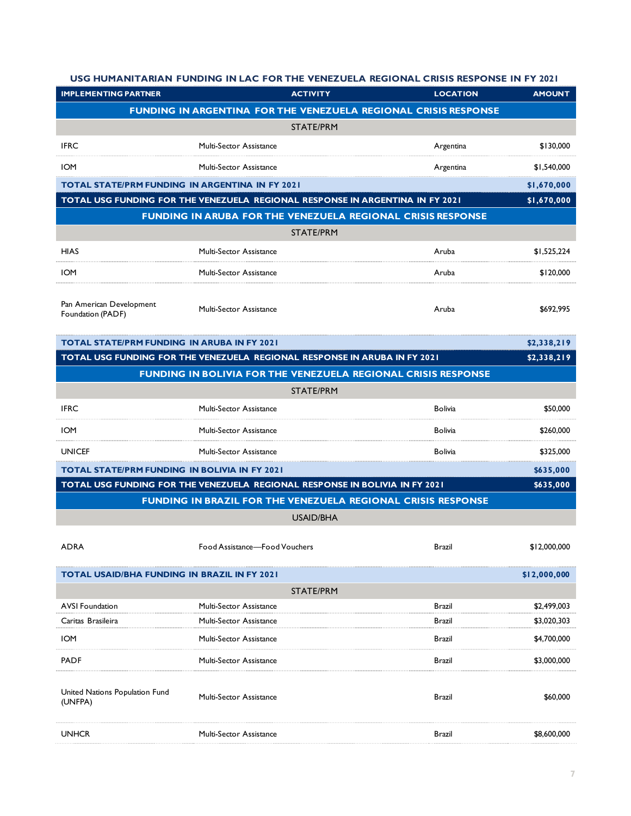#### **USG HUMANITARIAN FUNDING IN LAC FOR THE VENEZUELA REGIONAL CRISIS RESPONSE IN FY 2021**

| <b>IMPLEMENTING PARTNER</b>                            |                                | <b>ACTIVITY</b><br><b>LOCATION</b>                                            | <b>AMOUNT</b> |
|--------------------------------------------------------|--------------------------------|-------------------------------------------------------------------------------|---------------|
|                                                        |                                | FUNDING IN ARGENTINA FOR THE VENEZUELA REGIONAL CRISIS RESPONSE               |               |
| <b>STATE/PRM</b>                                       |                                |                                                                               |               |
| <b>IFRC</b>                                            | Multi-Sector Assistance        | Argentina                                                                     | \$130,000     |
| <b>IOM</b>                                             | Multi-Sector Assistance        | Argentina                                                                     | \$1,540,000   |
| <b>TOTAL STATE/PRM FUNDING IN ARGENTINA IN FY 2021</b> |                                |                                                                               | \$1,670,000   |
|                                                        |                                | TOTAL USG FUNDING FOR THE VENEZUELA REGIONAL RESPONSE IN ARGENTINA IN FY 2021 | \$1,670,000   |
|                                                        |                                | <b>FUNDING IN ARUBA FOR THE VENEZUELA REGIONAL CRISIS RESPONSE</b>            |               |
|                                                        |                                | <b>STATE/PRM</b>                                                              |               |
| <b>HIAS</b>                                            | Multi-Sector Assistance        | Aruba                                                                         | \$1,525,224   |
| <b>IOM</b>                                             | Multi-Sector Assistance        | Aruba                                                                         | \$120,000     |
| Pan American Development                               |                                |                                                                               |               |
| Foundation (PADF)                                      | Multi-Sector Assistance        | Aruba                                                                         | \$692,995     |
| <b>TOTAL STATE/PRM FUNDING IN ARUBA IN FY 2021</b>     |                                |                                                                               | \$2,338,219   |
|                                                        |                                | TOTAL USG FUNDING FOR THE VENEZUELA REGIONAL RESPONSE IN ARUBA IN FY 2021     | \$2,338,219   |
|                                                        |                                | <b>FUNDING IN BOLIVIA FOR THE VENEZUELA REGIONAL CRISIS RESPONSE</b>          |               |
|                                                        |                                | STATE/PRM                                                                     |               |
| <b>IFRC</b>                                            | <b>Multi-Sector Assistance</b> | <b>Bolivia</b>                                                                | \$50,000      |
| <b>IOM</b>                                             | Multi-Sector Assistance        | Bolivia                                                                       | \$260,000     |
| <b>UNICEF</b>                                          | Multi-Sector Assistance        | <b>Bolivia</b>                                                                | \$325,000     |
| TOTAL STATE/PRM FUNDING IN BOLIVIA IN FY 2021          |                                |                                                                               | \$635,000     |
|                                                        |                                | TOTAL USG FUNDING FOR THE VENEZUELA REGIONAL RESPONSE IN BOLIVIA IN FY 2021   | \$635,000     |
|                                                        |                                | FUNDING IN BRAZIL FOR THE VENEZUELA REGIONAL CRISIS RESPONSE                  |               |
|                                                        |                                | <b>USAID/BHA</b>                                                              |               |
| <b>ADRA</b>                                            | Food Assistance-Food Vouchers  | Brazil                                                                        | \$12,000,000  |
| TOTAL USAID/BHA FUNDING IN BRAZIL IN FY 2021           |                                |                                                                               | \$12,000,000  |
| STATE/PRM                                              |                                |                                                                               |               |
| <b>AVSI Foundation</b>                                 | Multi-Sector Assistance        | <b>Brazil</b>                                                                 | \$2,499,003   |
| Caritas Brasileira                                     | Multi-Sector Assistance        | Brazil                                                                        | \$3,020,303   |
| <b>IOM</b>                                             | Multi-Sector Assistance        | Brazil                                                                        | \$4,700,000   |
| <b>PADF</b>                                            | Multi-Sector Assistance        | Brazil                                                                        | \$3,000,000   |
| United Nations Population Fund<br>(UNFPA)              | Multi-Sector Assistance        | Brazil                                                                        | \$60,000      |
| <b>UNHCR</b>                                           | Multi-Sector Assistance        | Brazil                                                                        | \$8,600,000   |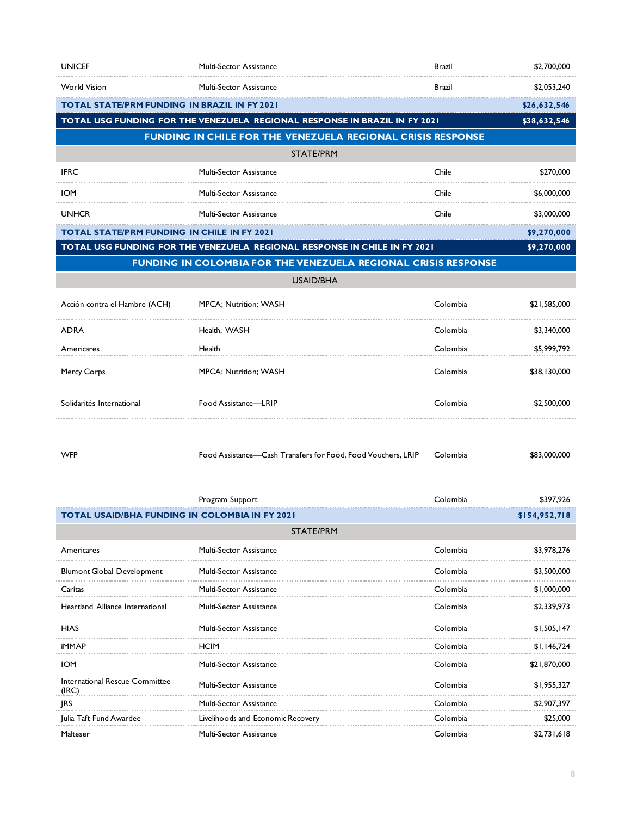| <b>UNICEF</b>                                                              | Multi-Sector Assistance                                                   | Brazil   | \$2,700,000   |
|----------------------------------------------------------------------------|---------------------------------------------------------------------------|----------|---------------|
| <b>World Vision</b>                                                        | Multi-Sector Assistance                                                   | Brazil   | \$2,053,240   |
| TOTAL STATE/PRM FUNDING  IN BRAZIL IN FY 2021                              |                                                                           |          | \$26,632,546  |
| TOTAL USG FUNDING FOR THE VENEZUELA REGIONAL RESPONSE IN BRAZIL IN FY 2021 |                                                                           |          | \$38,632,546  |
|                                                                            | FUNDING IN CHILE FOR THE VENEZUELA REGIONAL CRISIS RESPONSE               |          |               |
|                                                                            | STATE/PRM                                                                 |          |               |
| <b>IFRC</b>                                                                | Multi-Sector Assistance                                                   | Chile    | \$270,000     |
| <b>IOM</b>                                                                 | Multi-Sector Assistance                                                   | Chile    | \$6,000,000   |
| <b>UNHCR</b>                                                               | Multi-Sector Assistance                                                   | Chile    | \$3,000,000   |
| <b>TOTAL STATE/PRM FUNDING IN CHILE IN FY 2021</b>                         |                                                                           |          | \$9,270,000   |
|                                                                            | TOTAL USG FUNDING FOR THE VENEZUELA REGIONAL RESPONSE IN CHILE IN FY 2021 |          | \$9,270,000   |
|                                                                            | FUNDING IN COLOMBIA FOR THE VENEZUELA REGIONAL CRISIS RESPONSE            |          |               |
|                                                                            | <b>USAID/BHA</b>                                                          |          |               |
| Acción contra el Hambre (ACH)                                              | MPCA; Nutrition; WASH                                                     | Colombia | \$21,585,000  |
| <b>ADRA</b>                                                                | Health, WASH                                                              | Colombia | \$3,340,000   |
| Americares                                                                 | Health                                                                    | Colombia | \$5,999,792   |
| Mercy Corps                                                                | MPCA; Nutrition; WASH                                                     | Colombia | \$38,130,000  |
| Solidarités International                                                  | Food Assistance-LRIP                                                      | Colombia | \$2,500,000   |
| <b>WFP</b>                                                                 | Food Assistance-Cash Transfers for Food, Food Vouchers, LRIP              | Colombia | \$83,000,000  |
|                                                                            | Program Support                                                           | Colombia | \$397,926     |
| <b>TOTAL USAID/BHA FUNDING IN COLOMBIA IN FY 2021</b>                      |                                                                           |          | \$154,952,718 |
|                                                                            | <b>STATE/PRM</b>                                                          |          |               |
| Americares                                                                 | Multi-Sector Assistance                                                   | Colombia | \$3,978,276   |
| <b>Blumont Global Development</b>                                          | Multi-Sector Assistance                                                   | Colombia | \$3,500,000   |
| Caritas                                                                    | Multi-Sector Assistance                                                   | Colombia | \$1,000,000   |
| Heartland Alliance International                                           | Multi-Sector Assistance                                                   | Colombia | \$2,339,973   |
| HIAS                                                                       | Multi-Sector Assistance                                                   | Colombia | \$1,505,147   |
| iMMAP                                                                      | HCIM                                                                      | Colombia | \$1,146,724   |
| <b>IOM</b>                                                                 | Multi-Sector Assistance                                                   | Colombia | \$21,870,000  |
| International Rescue Committee<br>(IRC)                                    | Multi-Sector Assistance                                                   | Colombia | \$1,955,327   |
| <b>IRS</b>                                                                 | Multi-Sector Assistance                                                   | Colombia | \$2,907,397   |

Julia Taft Fund Awardee **Livelihoods and Economic Recovery** Colombia Colombia 525,000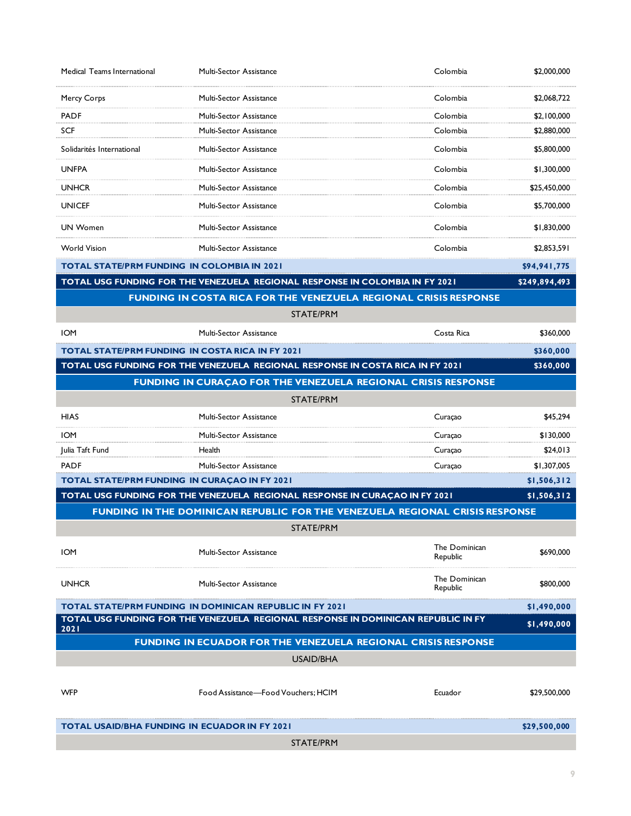| Medical Teams International                                          | Multi-Sector Assistance             |                                                                                   | Colombia                  | \$2,000,000   |
|----------------------------------------------------------------------|-------------------------------------|-----------------------------------------------------------------------------------|---------------------------|---------------|
| Mercy Corps                                                          | Multi-Sector Assistance             |                                                                                   | Colombia                  | \$2,068,722   |
| <b>PADF</b>                                                          | Multi-Sector Assistance             |                                                                                   | Colombia                  | \$2,100,000   |
| <b>SCF</b>                                                           | Multi-Sector Assistance             |                                                                                   | Colombia                  | \$2,880,000   |
| Solidarités International                                            | <b>Multi-Sector Assistance</b>      |                                                                                   | Colombia                  | \$5,800,000   |
| <b>UNFPA</b>                                                         | Multi-Sector Assistance             |                                                                                   | Colombia                  | \$1,300,000   |
| <b>UNHCR</b>                                                         | Multi-Sector Assistance             |                                                                                   | Colombia                  | \$25,450,000  |
| <b>UNICEF</b>                                                        | Multi-Sector Assistance             |                                                                                   | Colombia                  | \$5,700,000   |
| <b>UN Women</b>                                                      | Multi-Sector Assistance             |                                                                                   | Colombia                  | \$1,830,000   |
| <b>World Vision</b>                                                  | <b>Multi-Sector Assistance</b>      |                                                                                   | Colombia                  | \$2,853,591   |
| TOTAL STATE/PRM FUNDING IN COLOMBIA IN 2021                          |                                     |                                                                                   |                           | \$94,941,775  |
|                                                                      |                                     | TOTAL USG FUNDING FOR THE VENEZUELA REGIONAL RESPONSE IN COLOMBIA IN FY 2021      |                           | \$249,894,493 |
|                                                                      |                                     | FUNDING IN COSTA RICA FOR THE VENEZUELA REGIONAL CRISIS RESPONSE                  |                           |               |
|                                                                      |                                     | <b>STATE/PRM</b>                                                                  |                           |               |
| <b>IOM</b>                                                           | Multi-Sector Assistance             |                                                                                   | Costa Rica                | \$360,000     |
| <b>TOTAL STATE/PRM FUNDING IN COSTA RICA IN FY 2021</b>              |                                     |                                                                                   |                           | \$360,000     |
|                                                                      |                                     | TOTAL USG FUNDING FOR THE VENEZUELA REGIONAL RESPONSE IN COSTA RICA IN FY 2021    |                           | \$360,000     |
|                                                                      |                                     | FUNDING IN CURAÇAO FOR THE VENEZUELA REGIONAL CRISIS RESPONSE                     |                           |               |
|                                                                      |                                     | <b>STATE/PRM</b>                                                                  |                           |               |
| <b>HIAS</b>                                                          | Multi-Sector Assistance             |                                                                                   | Curaçao                   | \$45,294      |
| <b>IOM</b>                                                           | Multi-Sector Assistance             |                                                                                   | Curaçao                   | \$130,000     |
| Julia Taft Fund                                                      | Health                              |                                                                                   | Curaçao                   | \$24,013      |
| <b>PADF</b>                                                          | Multi-Sector Assistance             |                                                                                   | Curaçao                   | \$1,307,005   |
| <b>TOTAL STATE/PRM FUNDING IN CURAÇAO IN FY 2021</b>                 |                                     |                                                                                   |                           | \$1,506,312   |
|                                                                      |                                     | TOTAL USG FUNDING FOR THE VENEZUELA REGIONAL RESPONSE IN CURAÇAO IN FY 2021       |                           | \$1,506,312   |
|                                                                      |                                     | FUNDING IN THE DOMINICAN REPUBLIC FOR THE VENEZUELA REGIONAL CRISIS RESPONSE      |                           |               |
|                                                                      |                                     | STATE/PRM                                                                         |                           |               |
| <b>IOM</b>                                                           | Multi-Sector Assistance             |                                                                                   | The Dominican<br>Republic | \$690,000     |
| <b>UNHCR</b>                                                         | Multi-Sector Assistance             |                                                                                   | The Dominican<br>Republic | \$800,000     |
| <b>TOTAL STATE/PRM FUNDING IN DOMINICAN REPUBLIC IN FY 2021</b>      |                                     |                                                                                   |                           | \$1,490,000   |
| 2021                                                                 |                                     | TOTAL USG FUNDING FOR THE VENEZUELA REGIONAL RESPONSE IN DOMINICAN REPUBLIC IN FY |                           | \$1,490,000   |
| <b>FUNDING IN ECUADOR FOR THE VENEZUELA REGIONAL CRISIS RESPONSE</b> |                                     |                                                                                   |                           |               |
| USAID/BHA                                                            |                                     |                                                                                   |                           |               |
|                                                                      |                                     |                                                                                   |                           |               |
| <b>WFP</b>                                                           | Food Assistance-Food Vouchers; HCIM |                                                                                   | Ecuador                   | \$29,500,000  |
| <b>TOTAL USAID/BHA FUNDING IN ECUADOR IN FY 2021</b>                 |                                     |                                                                                   |                           | \$29,500,000  |
|                                                                      |                                     | STATE/PRM                                                                         |                           |               |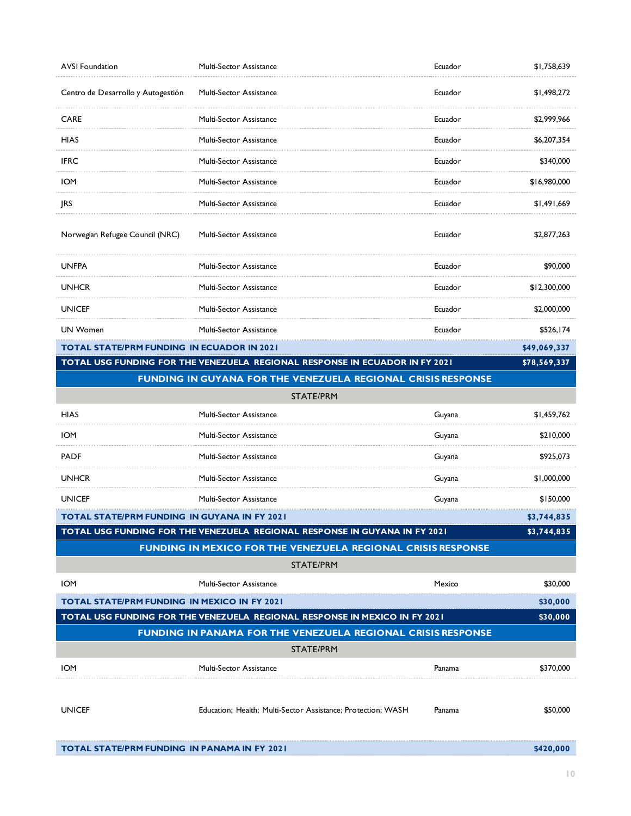| <b>AVSI Foundation</b>                                                                 | Multi-Sector Assistance                                                    | Ecuador | \$1,758,639  |
|----------------------------------------------------------------------------------------|----------------------------------------------------------------------------|---------|--------------|
| Centro de Desarrollo y Autogestión                                                     | Multi-Sector Assistance                                                    | Ecuador | \$1,498,272  |
| <b>CARE</b>                                                                            | Multi-Sector Assistance                                                    | Ecuador | \$2,999,966  |
| <b>HIAS</b>                                                                            | Multi-Sector Assistance                                                    | Ecuador | \$6,207,354  |
| <b>IFRC</b>                                                                            | Multi-Sector Assistance                                                    | Ecuador | \$340,000    |
| <b>IOM</b>                                                                             | <b>Multi-Sector Assistance</b>                                             | Ecuador | \$16,980,000 |
| <b>JRS</b>                                                                             | Multi-Sector Assistance                                                    | Ecuador | \$1,491,669  |
| Norwegian Refugee Council (NRC)                                                        | Multi-Sector Assistance                                                    | Ecuador | \$2,877,263  |
| <b>UNFPA</b>                                                                           | Multi-Sector Assistance                                                    | Ecuador | \$90,000     |
| <b>UNHCR</b>                                                                           | Multi-Sector Assistance                                                    | Ecuador | \$12,300,000 |
| <b>UNICEF</b>                                                                          | Multi-Sector Assistance                                                    | Ecuador | \$2,000,000  |
| <b>UN Women</b>                                                                        | Multi-Sector Assistance                                                    | Ecuador | \$526,174    |
| <b>TOTAL STATE/PRM FUNDING IN ECUADOR IN 2021</b>                                      |                                                                            |         | \$49,069,337 |
| TOTAL USG FUNDING FOR THE VENEZUELA REGIONAL RESPONSE IN ECUADOR IN FY 2021            |                                                                            |         | \$78,569,337 |
|                                                                                        | FUNDING IN GUYANA FOR THE VENEZUELA REGIONAL CRISIS RESPONSE               |         |              |
|                                                                                        | STATE/PRM                                                                  |         |              |
| <b>HIAS</b>                                                                            | Multi-Sector Assistance                                                    | Guyana  | \$1,459,762  |
| <b>IOM</b>                                                                             | Multi-Sector Assistance                                                    | Guyana  | \$210,000    |
| <b>PADF</b>                                                                            | Multi-Sector Assistance                                                    | Guyana  | \$925,073    |
| <b>UNHCR</b>                                                                           | Multi-Sector Assistance                                                    | Guyana  | \$1,000,000  |
| <b>UNICEF</b>                                                                          | Multi-Sector Assistance                                                    | Guyana  | \$150,000    |
| TOTAL STATE/PRM FUNDING IN GUYANA IN FY 2021                                           |                                                                            |         | \$3,744,835  |
|                                                                                        | TOTAL USG FUNDING FOR THE VENEZUELA REGIONAL RESPONSE IN GUYANA IN FY 2021 |         | \$3,744,835  |
|                                                                                        | <b>FUNDING IN MEXICO FOR THE VENEZUELA REGIONAL CRISIS RESPONSE</b>        |         |              |
| STATE/PRM                                                                              |                                                                            |         |              |
| <b>IOM</b>                                                                             | Multi-Sector Assistance                                                    | Mexico  | \$30,000     |
| TOTAL STATE/PRM FUNDING  IN MEXICO IN FY 2021                                          |                                                                            |         | \$30,000     |
| TOTAL USG FUNDING FOR THE VENEZUELA REGIONAL RESPONSE IN MEXICO IN FY 2021<br>\$30,000 |                                                                            |         |              |
| FUNDING IN PANAMA FOR THE VENEZUELA REGIONAL CRISIS RESPONSE                           |                                                                            |         |              |
| STATE/PRM                                                                              |                                                                            |         |              |
| <b>IOM</b>                                                                             | <b>Multi-Sector Assistance</b>                                             | Panama  | \$370,000    |
| <b>UNICEF</b>                                                                          | Education; Health; Multi-Sector Assistance; Protection; WASH               | Panama  | \$50,000     |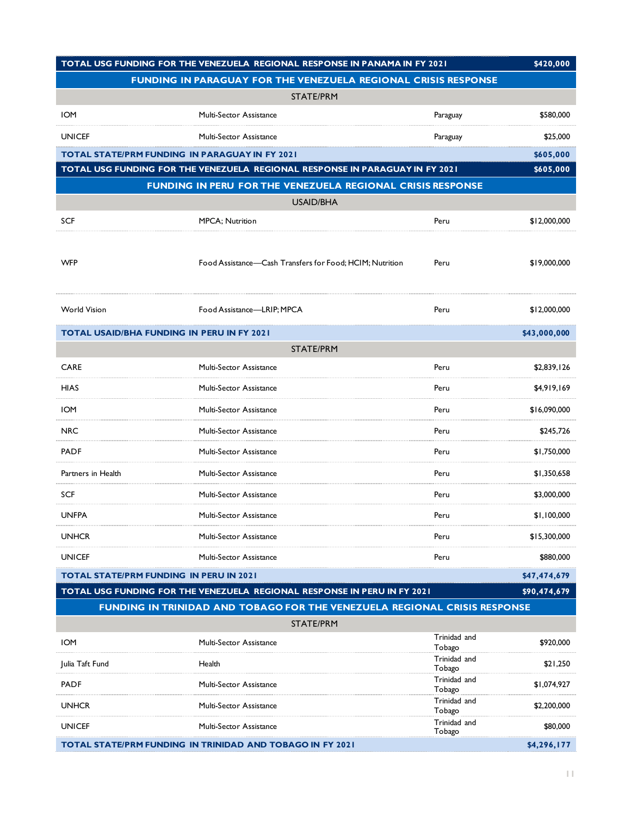| TOTAL USG FUNDING FOR THE VENEZUELA REGIONAL RESPONSE IN PANAMA IN FY 2021 |                                                                              |                        | \$420,000    |
|----------------------------------------------------------------------------|------------------------------------------------------------------------------|------------------------|--------------|
| FUNDING IN PARAGUAY FOR THE VENEZUELA REGIONAL CRISIS RESPONSE             |                                                                              |                        |              |
|                                                                            | <b>STATE/PRM</b>                                                             |                        |              |
| <b>IOM</b>                                                                 | <b>Multi-Sector Assistance</b>                                               | Paraguay               | \$580,000    |
| <b>UNICEF</b>                                                              | Multi-Sector Assistance                                                      | Paraguay               | \$25,000     |
| <b>TOTAL STATE/PRM FUNDING IN PARAGUAY IN FY 2021</b>                      |                                                                              |                        | \$605,000    |
|                                                                            | TOTAL USG FUNDING FOR THE VENEZUELA REGIONAL RESPONSE IN PARAGUAY IN FY 2021 |                        | \$605,000    |
|                                                                            | FUNDING IN PERU FOR THE VENEZUELA REGIONAL CRISIS RESPONSE                   |                        |              |
|                                                                            | <b>USAID/BHA</b>                                                             |                        |              |
| <b>SCF</b>                                                                 | <b>MPCA</b> ; Nutrition                                                      | Peru                   | \$12,000,000 |
| <b>WFP</b>                                                                 | Food Assistance—Cash Transfers for Food; HCIM; Nutrition                     | Peru                   | \$19,000,000 |
| <b>World Vision</b>                                                        | Food Assistance-LRIP; MPCA                                                   | Peru                   | \$12,000,000 |
| <b>TOTAL USAID/BHA FUNDING IN PERU IN FY 2021</b>                          |                                                                              |                        | \$43,000,000 |
|                                                                            | <b>STATE/PRM</b>                                                             |                        |              |
| <b>CARE</b>                                                                | Multi-Sector Assistance                                                      | Peru                   | \$2,839,126  |
| <b>HIAS</b>                                                                | Multi-Sector Assistance                                                      | Peru                   | \$4,919,169  |
| <b>IOM</b>                                                                 | Multi-Sector Assistance                                                      | Peru                   | \$16,090,000 |
| <b>NRC</b>                                                                 | Multi-Sector Assistance                                                      | Peru                   | \$245,726    |
| <b>PADF</b>                                                                | Multi-Sector Assistance                                                      | Peru                   | \$1,750,000  |
| Partners in Health                                                         | <b>Multi-Sector Assistance</b>                                               | Peru                   | \$1,350,658  |
| <b>SCF</b>                                                                 | Multi-Sector Assistance                                                      | Peru                   | \$3,000,000  |
| <b>UNFPA</b>                                                               | Multi-Sector Assistance                                                      | Peru                   | \$1,100,000  |
| <b>UNHCR</b>                                                               | Multi-Sector Assistance                                                      | Peru                   | \$15,300,000 |
| UNICEF                                                                     | Multi-Sector Assistance                                                      | Peru                   | \$880,000    |
| TOTAL STATE/PRM FUNDING IN PERU IN 2021                                    |                                                                              |                        | \$47,474,679 |
|                                                                            | TOTAL USG FUNDING FOR THE VENEZUELA REGIONAL RESPONSE IN PERU IN FY 2021     |                        | \$90,474,679 |
|                                                                            | FUNDING IN TRINIDAD AND TOBAGO FOR THE VENEZUELA REGIONAL CRISIS RESPONSE    |                        |              |
|                                                                            | STATE/PRM                                                                    | Trinidad and           |              |
| <b>IOM</b>                                                                 | Multi-Sector Assistance                                                      | Tobago                 | \$920,000    |
| Julia Taft Fund                                                            | Health                                                                       | Trinidad and<br>Tobago | \$21,250     |
| <b>PADF</b>                                                                | Multi-Sector Assistance                                                      | Trinidad and<br>Tobago | \$1,074,927  |
| <b>UNHCR</b>                                                               | Multi-Sector Assistance                                                      | Trinidad and<br>Tobago | \$2,200,000  |
| UNICEF                                                                     | Multi-Sector Assistance                                                      | Trinidad and<br>Tobago | \$80,000     |
| \$4,296,177<br>TOTAL STATE/PRM FUNDING IN TRINIDAD AND TOBAGO IN FY 2021   |                                                                              |                        |              |